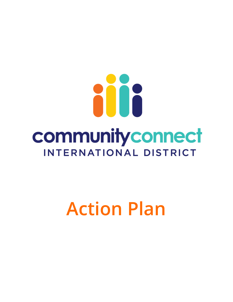

# **Action Plan**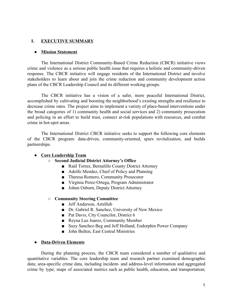#### L **EXECUTIVE SUMMARY**

#### • Mission Statement

The International District Community-Based Crime Reduction (CBCR) initiative views crime and violence as a serious public health issue that requires a holistic and community-driven response. The CBCR initiative will engage residents of the International District and involve stakeholders to learn about and join the crime reduction and community development action plans of the CBCR Leadership Council and its different working groups.

The CBCR initiative has a vision of a safer, more peaceful International District, accomplished by cultivating and boosting the neighborhood's existing strengths and resilience to decrease crime rates. The project aims to implement a variety of place-based interventions under the broad categories of 1) community health and social services and 2) community prosecution and policing in an effort to build trust, connect at-risk populations with resources, and combat crime in hot-spot areas.

The International District CBCR initiative seeks to support the following core elements of the CBCR program: data-driven, community-oriented, spurs revitalization, and builds partnerships.

#### • Core Leadership Team

- Second Judicial District Attorney's Office
	- Raúl Torrez, Bernalillo County District Attorney
	- Adolfo Mendez, Chief of Policy and Planning
	- Theresa Romero, Community Prosecutor
	- Virginia Perez-Ortega, Program Administrator
	- Johnn Osborn, Deputy District Attorney

#### **O** Community Steering Committee

- **E** Jeff Anderson, ArtsHub
- Dr. Gabriel R. Sanchez, University of New Mexico
- Pat Davis, City Councilor, District 6
- Reyna Luz Juarez, Community Member
- Suzy Sanchez-Beg and Jeff Holland, Endorphin Power Company
- John Bulten, East Central Ministries

#### • Data-Driven Elements

During the planning process, the CBCR team considered a number of qualitative and quantitative variables. The core leadership team and research partner examined demographic data; area-specific crime data, including incident- and address-level information and aggregated crime by type; maps of associated metrics such as public health, education, and transportation;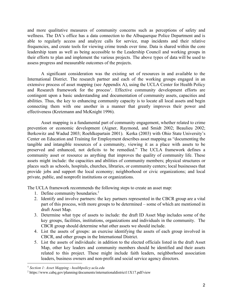and more qualitative measures of community concerns such as perceptions of safety and wellness. The DA's office has a data connection to the Albuquerque Police Department and is able to regularly access and analyze calls for service, map incidents and their relative frequencies, and create tools for viewing crime trends over time. Data is shared within the core leadership team as well as being accessible to the Leadership Council and working groups in their efforts to plan and implement the various projects. The above types of data will be used to assess progress and measurable outcomes of the projects.

A significant consideration was the existing set of resources in and available to the International District. The research partner and each of the working groups engaged in an extensive process of asset mapping (see Appendix A), using the UCLA Center for Health Policy and Research framework for the process<sup>1</sup>. Effective community development efforts are contingent upon a basic understanding and documentation of community assets, capacities and abilities. Thus, the key to enhancing community capacity is to locate all local assets and begin connecting them with one another in a manner that greatly improves their power and effectiveness (Kretzmann and McKnight 1996).

Asset mapping is a fundamental part of community engagement, whether related to crime prevention or economic development (Aigner, Raymond, and Smidt 2002; Beaulieu 2002; Berkowitz and Wadud 2003; Roehlkepartain 2001). Kerka (2003) with Ohio State University's Center on Education and Training for Employment describes asset mapping as "documenting the tangible and intangible resources of a community, viewing it as a place with assets to be preserved and enhanced, not deficits to be remedied." The UCLA framework defines a community asset or resource as anything that improves the quality of community life. These assets might include: the capacities and abilities of community members; physical structures or places such as schools, hospitals, churches, libraries, or community centers; local businesses that provide jobs and support the local economy; neighborhood or civic organizations; and local private, public, and nonprofit institutions or organizations.

The UCLA framework recommends the following steps to create an asset map:

- 1. Define community boundaries.<sup>2</sup>
- 2. Identify and involve partners: the key partners represented in the CBCR group are a vital part of this process, with more groups to be determined – some of which are mentioned in draft Asset Map.
- 3. Determine what type of assets to include: the draft ID Asset Map includes some of the key groups, facilities, institutions, organizations and individuals in the community. The CBCR group should determine what other assets we should include.
- 4. List the assets of groups: an exercise identifying the assets of each group involved in CBCR, and other groups in the International District.
- 5. List the assets of individuals: in addition to the elected officials listed in the draft Asset Map, other key leaders and community members should be identified and their assets related to this project. These might include faith leaders, neighborhood association leaders, business owners and non-profit and social service agency directors.

<sup>&</sup>lt;sup>1</sup> Section 1: Asset Mapping - healthpolicy.ucla.edu

 $2$  https://www.cabq.gov/planning/documents/internationaldistrict11X17.pdf/view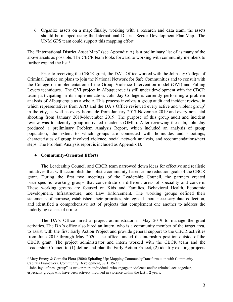6. Organize assets on a map: finally, working with a research and data team, the assets should be mapped using the International District Sector Development Plan Map. The UNM GPS team could support this mapping effort.

The "International District Asset Map" (see Appendix A) is a preliminary list of as many of the above assets as possible. The CBCR team looks forward to working with community members to further expand the list. $3$ 

Prior to receiving the CBCR grant, the DA's Office worked with the John Jay College of Criminal Justice on plans to join the National Network for Safe Communities and to consult with the College on implementation of the Group Violence Intervention model (GVI) and Pulling Levers techniques. The GVI project in Albuquerque is still under development with the CBCR team participating in its implementation. John Jay College is currently performing a problem analysis of Albuquerque as a whole. This process involves a group audit and incident review, in which representatives from APD and the DA's Office reviewed every active and violent group<sup>4</sup> in the city, as well as every homicide from January 2017-November 2019 and every non-fatal shooting from January 2019-November 2019. The purpose of this group audit and incident review was to identify group-motivated incidents (GMIs). After reviewing the data, John Jay produced a preliminary Problem Analysis Report, which included an analysis of group population, the extent to which groups are connected with homicides and shootings, characteristics of group involved violence, social network analysis, and recommendations/next steps. The Problem Analysis report is included as Appendix B.

# • Community-Oriented Efforts

The Leadership Council and CBCR team narrowed down ideas for effective and realistic initiatives that will accomplish the holistic community-based crime reduction goals of the CBCR grant. During the first two meetings of the Leadership Council, the partners created issue-specific working groups that concentrate on different areas of speciality and concern. These working groups are focused on Kids and Families, Behavioral Health, Economic Development, Infrastructure, and Law Enforcement. The working groups defined their statements of purpose, established their priorities, strategized about necessary data collection, and identified a comprehensive set of projects that complement one another to address the underlying causes of crime.

The DA's Office hired a project administrator in May 2019 to manage the grant activities. The DA's office also hired an intern, who is a community member of the target area, to assist with the first Early Action Project and provide general support to the CBCR activities from June 2019 through May 2020. The office funded the internship position outside of the CBCR grant. The project administrator and intern worked with the CBCR team and the Leadership Council to (1) define and plan the Early Action Project, (2) identify existing projects

<sup>&</sup>lt;sup>3</sup> Mary Emery & Cornelia Flora (2006) Spiraling-Up: Mapping Community Transformation with Community Capitals Framework, Community Development, 37:1, 19-35.

<sup>&</sup>lt;sup>4</sup> John Jay defines "group" as two or more individuals who engage in violence and/or criminal acts together, especially groups who have been actively involved in violence within the last 1-2 years.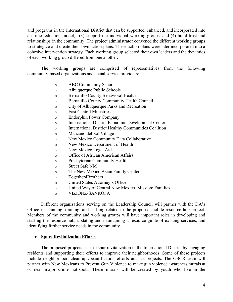and programs in the International District that can be supported, enhanced, and incorporated into a crime-reduction model, (3) support the individual working groups, and (4) build trust and relationships in the community. The project administrator convened the different working groups to strategize and create their own action plans. These action plans were later incorporated into a cohesive intervention strategy. Each working group selected their own leaders and the dynamics of each working group differed from one another.

The working groups are comprised of representatives from the following community-based organizations and social service providers:

- **ABC Community School**  $\circ$
- Albuquerque Public Schools  $\circ$
- **Bernalillo County Behavioral Health**  $\circ$
- Bernalillo County Community Health Council  $\circ$
- City of Albuquerque Parks and Recreation  $\circ$
- **East Central Ministries**  $\circ$
- **Endorphin Power Company**  $\circ$
- **International District Economic Development Center**  $\circ$
- **International District Healthy Communities Coalition**  $\circ$
- Manzano del Sol Village  $\circ$
- New Mexico Community Data Collaborative  $\circ$
- New Mexico Department of Health  $\circ$
- New Mexico Legal Aid  $\circ$
- Office of African American Affairs  $\circ$
- Presbyterian Community Health  $\circ$
- **Street Safe NM**  $\circ$
- The New Mexico Asian Family Center  $\circ$
- Together4Brothers  $\circ$
- United States Attorney's Office  $\circ$
- United Way of Central New Mexico, Mission: Families  $\circ$
- **VIZIONZ-SANKOFA**  $\circ$

Different organizations serving on the Leadership Council will partner with the DA's Office in planning, training, and staffing related to the proposed mobile resource hub project. Members of the community and working groups will have important roles in developing and staffing the resource hub, updating and maintaining a resource guide of existing services, and identifying further service needs in the community.

## • Spurs Revitalization Efforts

The proposed projects seek to spur revitalization in the International District by engaging residents and supporting their efforts to improve their neighborhoods. Some of these projects include neighborhood clean-ups/beautification efforts and art projects. The CBCR team will partner with New Mexicans to Prevent Gun Violence to make gun violence awareness murals at or near major crime hot-spots. These murals will be created by youth who live in the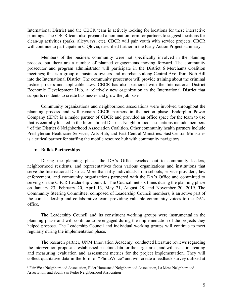International District and the CBCR team is actively looking for locations for these interactive paintings. The CBCR team also prepared a nomination form for partners to suggest locations for clean-up activities (parks, alleyways, etc). CBCR will pair youth with service projects. CBCR will continue to participate in CiOlovia, described further in the Early Action Project summary.

Members of the business community were not specifically involved in the planning process, but there are a number of planned engagements moving forward. The community prosecutor and program administrator will participate in the District 6 Merchants Coalition meetings; this is a group of business owners and merchants along Central Ave. from Nob Hill into the International District. The community prosecutor will provide training about the criminal justice process and applicable laws. CBCR has also partnered with the International District Economic Development Hub, a relatively new organization in the International District that supports residents to create businesses and grow the job base.

Community organizations and neighborhood associations were involved throughout the planning process and will remain CBCR partners in the action phase. Endorphin Power Company (EPC) is a major partner of CBCR and provided an office space for the team to use that is centrally located in the International District. Neighborhood associations include members <sup>5</sup> of the District 6 Neighborhood Association Coalition. Other community health partners include Presbyterian Healthcare Services, Arts Hub, and East Central Ministries. East Central Ministries is a critical partner for staffing the mobile resource hub with community navigators.

## • Builds Partnerships

During the planning phase, the DA's Office reached out to community leaders, neighborhood residents, and representatives from various organizations and institutions that serve the International District. More than fifty individuals from schools, service providers, law enforcement, and community organizations partnered with the DA's Office and committed to serving on the CBCR Leadership Council. The Council met six times during the planning phase on January 23, February 20, April 13, May 21, August 28, and November 20, 2019. The Community Steering Committee, composed of Leadership Council members, is an active part of the core leadership and collaborative team, providing valuable community voices to the DA's office.

The Leadership Council and its constituent working groups were instrumental in the planning phase and will continue to be engaged during the implementation of the projects they helped propose. The Leadership Council and individual working groups will continue to meet regularly during the implementation phase.

The research partner, UNM Innovation Academy, conducted literature reviews regarding the intervention proposals, established baseline data for the target area, and will assist in creating and measuring evaluation and assessment metrics for the project implementation. They will collect qualitative data in the form of "PhotoVoice" and will create a feedback survey utilized at

<sup>&</sup>lt;sup>5</sup> Fair West Neighborhood Association, Elder Homestead Neighborhood Association, La Mesa Neighborhood Association, and South San Pedro Neighborhood Association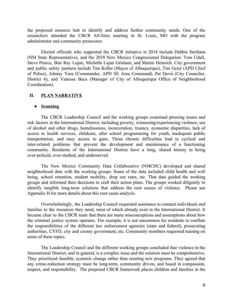the proposed resource hub to identify and address further community needs. One of the researchers attended the CBCR All-Sites meeting in St. Louis, MO with the program administrator and community prosecutor.

Elected officials who supported the CBCR initiative in 2018 include Debbie Sariñana (NM State Representative), and the 2018 New Mexico Congressional Delegation: Tom Udall, Steve Pearce, Ben Ray Lujan, Michelle Lujan Grisham, and Martin Heinrich. City government and public safety partners include Tim Keller (Mayor of Albuquerque), Tim Geier (APD Chief of Police), Johnny Yara (Commander, APD SE Area Command), Pat Davis (City Councilor, District 6), and Vanessa Baca (Manager of City of Albuquerque Office of Neighborhood Coordination).

#### **PLAN NARRATIVE** II.

## $\bullet$  Scanning

The CBCR Leadership Council and the working groups examined pressing issues and risk factors in the International District, including poverty, witnessing/experiencing violence, use of alcohol and other drugs, homelessness, incarceration, truancy, economic disparities, lack of access to health services, childcare, after school programming for youth, inadequate public transportation, and easy access to guns. These chronic difficulties lead to cyclical and inter-related problems that prevent the development and maintenance of a functioning community. Residents of the International District have a long, shared history in being over-policed, over-studied, and underserved.

The New Mexico Community Data Collaborative (NMCDC) developed and shared neighborhood data with the working groups. Some of the data included child health and well being, school retention, student mobility, drop out rates, etc. That data guided the working groups and informed their decisions to craft their action plans. The groups worked diligently to identify tangible long-term solutions that address the root causes of violence. Please see Appendix H for more details about this root cause analysis.

Overwhelmingly, the Leadership Council requested assistance to connect individuals and families to the resources they need, most of which already exist in the International District. It became clear to the CBCR team that there are many misconceptions and assumptions about how the criminal justice system operates. For example, it is not uncommon for residents to conflate the responsibilities of the different law enforcement agencies (state and federal), prosecuting authorities, CYFD, city and county government, etc. Community members requested training on some of these topics.

The Leadership Council and the different working groups concluded that violence in the International District, and in general, is a complex issue and the solution must be comprehensive. They prioritized feasible, systemic change rather than creating new programs. They agreed that any crime-reduction strategy must be long-term, community driven, and based in compassion, respect, and responsibility. The proposed CBCR framework places children and families in the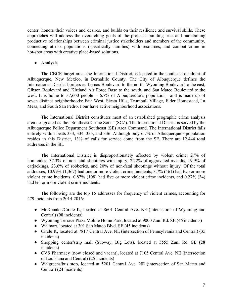center, honors their voices and desires, and builds on their resilience and survival skills. These approaches will address the overarching goals of the projects: building trust and maintaining productive relationships between criminal justice stakeholders and members of the community, connecting at-risk populations (specifically families) with resources, and combat crime in hot-spot areas with creative place-based solutions.

## • **Analysis**

The CBCR target area, the International District, is located in the southeast quadrant of Albuquerque, New Mexico, in Bernalillo County. The City of Albuquerque defines the International District borders as Lomas Boulevard to the north, Wyoming Boulevard to the east, Gibson Boulevard and Kirtland Air Force Base to the south, and San Mateo Boulevard to the west. It is home to 37,600 people—  $6.7\%$  of Albuquerque's population—and is made up of seven distinct neighborhoods: Fair West, Siesta Hills, Trumbull Village, Elder Homestead, La Mesa, and South San Pedro. Four have active neighborhood associations.

The International District constitutes most of an established geographic crime analysis area designated as the "Southeast Crime Zone" (SCZ). The International District is served by the Albuquerque Police Department Southeast (SE) Area Command. The International District falls entirely within beats 333, 334, 335, and 336. Although only 6.7% of Albuquerque's population resides in this District, 13% of calls for service come from the SE. There are 12,444 total addresses in the SE.

The International District is disproportionately affected by violent crime: 27% of homicides, 37.3% of non-fatal shootings with injury, 22.2% of aggravated assaults, 19.9% of cariackings, 23.6% of robberies, and 20% of non-fatal shootings without injury. Of the total addresses, 10.99% (1,367) had one or more violent crime incidents; 3.7% (461) had two or more violent crime incidents, 0.87% (108) had five or more violent crime incidents, and 0.27% (34) had ten or more violent crime incidents.

The following are the top 15 addresses for frequency of violent crimes, accounting for 479 incidents from 2014-2016:

- McDonalds/Circle K, located at 8601 Central Ave. NE (intersection of Wyoming and Central) (98 incidents)
- Wyoming Terrace Plaza Mobile Home Park, located at 9000 Zuni Rd. SE (46 incidents)
- Walmart, located at 301 San Mateo Blvd. SE (45 incidents)
- Circle K, located at 7817 Central Ave. NE (intersection of Pennsylvania and Central) (35 incidents)
- Shopping center/strip mall (Subway, Big Lots), located at 5555 Zuni Rd. SE (28) incidents)
- CVS Pharmacy (now closed and vacant), located at 7105 Central Ave. NE (intersection of Louisiana and Central) (25 incidents)
- Walgreens/bus stop, located at 5201 Central Ave. NE (intersection of San Mateo and Central) (24 incidents)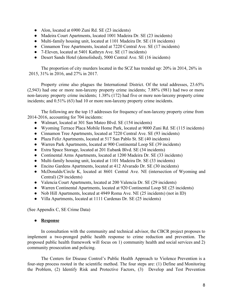- Alon, located at  $6900$  Zuni Rd. SE (23 incidents)
- Madeira Court Apartments, located 1001 Madeira Dr. SE (23 incidents)
- $\bullet$  Multi-family housing unit, located at 1101 Madeira Dr. SE (18 incidents)
- Cinnamon Tree Apartments, located at 7220 Central Ave. SE (17 incidents)
- $\bullet$  7-Eleven, located at 5401 Kathryn Ave. SE (17 incidents)
- Desert Sands Hotel (demolished), 5000 Central Ave. SE (16 incidents)

The proportion of city murders located in the SCZ has trended up:  $20\%$  in  $2014$ ,  $26\%$  in 2015, 31% in 2016, and 27% in 2017.

Property crime also plagues the International District. Of the total addresses, 23.65%  $(2,943)$  had one or more non-larceny property crime incidents; 7.88% (981) had two or more non-larceny property crime incidents;  $1.38\%$  (172) had five or more non-larceny property crime incidents; and  $0.51\%$  (63) had 10 or more non-larceny property crime incidents.

The following are the top 15 addresses for frequency of non-larceny property crime from  $2014-2016$ , accounting for 704 incidents:

- Walmart, located at 301 San Mateo Blvd. SE (154 incidents)
- Wyoming Terrace Placa Mobile Home Park, located at 9000 Zuni Rd. SE (115 incidents)
- Cinnamon Tree Apartments, located at 7220 Central Ave. SE (93 incidents)
- $\bullet$  Plaza Feliz Apartments, located at 517 San Pablo St. SE (40 incidents)
- Warren Park Apartments, located at 900 Continental Loop SE (39 incidents)
- Extra Space Storage, located at 201 Eubank Blvd. SE (34 incidents)
- Continental Arms Apartments, located at 1200 Madeira Dr. SE (33 incidents)
- $\bullet$  Multi-family housing unit, located at 1101 Madeira Dr. SE (33 incidents)
- Encino Gardens Apartments, located at  $412$  Alvarado Dr. SE (30 incidents)
- McDonalds/Circle K, located at 8601 Central Ave. NE (intersection of Wyoming and Central) (29 incidents)
- Valencia Court Apartments, located at 200 Valencia Dr. SE (29 incidents)
- Warren Continental Apartments, located at 920 Continental Loop SE (25 incidents)
- $\bullet$  Nob Hill Apartments, located at 4949 Roma Ave. NE (25 incidents) (not in ID)
- Villa Apartments, located at 1111 Cardenas Dr. SE (25 incidents)

(See Appendix C, SE Crime Data)

# **•** Response

In consultation with the community and technical advisor, the CBCR project proposes to implement a two-pronged public health response to crime reduction and prevention. The proposed public health framework will focus on 1) community health and social services and 2) community prosecution and policing.

The Centers for Disease Control's Public Health Approach to Violence Prevention is a four-step process rooted in the scientific method. The four steps are: (1) Define and Monitoring the Problem,  $(2)$  Identify Risk and Protective Factors,  $(3)$  Develop and Test Prevention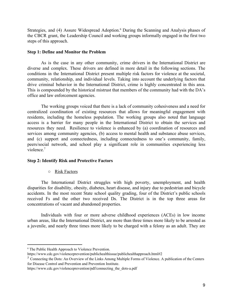Strategies, and (4) Assure Widespread Adoption.<sup>6</sup> During the Scanning and Analysis phases of the CBCR grant, the Leadership Council and working groups informally engaged in the first two steps of this approach.

## **Step 1: Define and Monitor the Problem**

As is the case in any other community, crime drivers in the International District are diverse and complex. These drivers are defined in more detail in the following sections. The conditions in the International District present multiple risk factors for violence at the societal, community, relationship, and individual levels. Taking into account the underlying factors that drive criminal behavior in the International District, crime is highly concentrated in this area. This is compounded by the historical mistrust that members of the community had with the DA's office and law enforcement agencies.

The working groups voiced that there is a lack of community cohesiveness and a need for centralized coordination of existing resources that allows for meaningful engagement with residents, including the homeless population. The working groups also noted that language access is a barrier for many people in the International District to obtain the services and resources they need. Resilience to violence is enhanced by (a) coordination of resources and services among community agencies, (b) access to mental health and substance abuse services, and (c) support and connectedness, including connectedness to one's community, family, peers/social network, and school play a significant role in communities experiencing less violence. $7$ 

## **Step 2: Identify Risk and Protective Factors**

#### **O** Risk Factors

The International District struggles with high poverty, unemployment, and health disparities for disability, obesity, diabetes, heart disease, and injury due to pedestrian and bicycle accidents. In the most recent State school quality grading, four of the District's public schools received Fs and the other two received Ds. The District is in the top three areas for concentrations of vacant and abandoned properties.

Individuals with four or more adverse childhood experiences (ACEs) in low income urban areas, like the International District, are more than three times more likely to be arrested as a juvenile, and nearly three times more likely to be charged with a felony as an adult. They are

<sup>&</sup>lt;sup>6</sup> The Public Health Approach to Violence Prevention.

https://www.cdc.gov/violenceprevention/publichealthissue/publichealthapproach.html#2

<sup>&</sup>lt;sup>7</sup> Connecting the Dots: An Overview of the Links Among Multiple Forms of Violence. A publication of the Centers for Disease Control and Prevention and Prevention Institute.

https://www.cdc.gov/violenceprevention/pdf/connecting the dots-a.pdf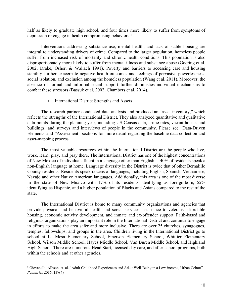half as likely to graduate high school, and four times more likely to suffer from symptoms of depression or engage in health compromising behaviors.<sup>8</sup>

Interventions addressing substance use, mental health, and lack of stable housing are integral to understanding drivers of crime. Compared to the larger population, homeless people suffer from increased risk of mortality and chronic health conditions. This population is also disproportionately more likely to suffer from mental illness and substance abuse (Goering et al. 2002; Drake, Osher, & Wallach 1991). Poverty and barriers to accessing care and housing stability further exacerbate negative health outcomes and feelings of pervasive powerlessness, social isolation, and exclusion among the homeless population (Wang et al. 2011). Moreover, the absence of formal and informal social support further diminishes individual mechanisms to combat these stressors (Bassuk et al. 2002; Chambers et al. 2014).

#### o International District Strengths and Assets

The research partner conducted data analysis and produced an "asset inventory," which reflects the strengths of the International District. They also analyzed quantitative and qualitative data points during the planning year, including US Census data, crime rates, vacant houses and buildings, and surveys and interviews of people in the community. Please see "Data-Driven" Elements" and "Assessment" sections for more detail regarding the baseline data collection and asset-mapping process.

The most valuable resources within the International District are the people who live, work, learn, play, and pray there. The International District has one of the highest concentrations of New Mexico of individuals fluent in a language other than English—40% of residents speak a non-English language at home. Language diversity in the District is twice that of other Bernalillo County residents. Residents speak dozens of languages, including English, Spanish, Vietnamese, Navajo and other Native American languages. Additionally, this area is one of the most diverse in the state of New Mexico with 17% of its residents identifying as foreign-born, 52% identifying as Hispanic, and a higher population of Blacks and Asians compared to the rest of the state.

The International District is home to many community organizations and agencies that provide physical and behavioral health and social services, assistance to veterans, affordable housing, economic activity development, and inmate and ex-offender support. Faith-based and religious organizations play an important role in the International District and continue to engage in efforts to make the area safer and more inclusive. There are over 25 churches, synagogues, temples, fellowships, and groups in the area. Children living in the International District go to school at La Mesa Elementary School, Emerson Elementary School, Whittier Elementary School, Wilson Middle School, Hayes Middle School, Van Buren Middle School, and Highland High School. There are numerous Head Start, licensed day care, and after-school programs, both within the schools and at other agencies.

<sup>&</sup>lt;sup>8</sup> Giovanelli, Allison, et. al. "Adult Childhood Experiences and Adult Well-Being in a Low-income, Urban Cohort" *Pediatrics* 2016; 137(4)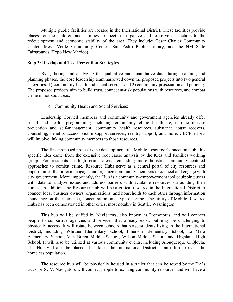Multiple public facilities are located in the International District. These facilities provide places for the children and families to meet, to organize and to serve as anchors to the redevelopment and economic stability of the area. They include: Cesar Chavez Community Center, Mesa Verde Community Center, San Pedro Public Library, and the NM State Fairgrounds (Expo New Mexico).

## **Step 3: Develop and Test Prevention Strategies**

By gathering and analyzing the qualitative and quantitative data during scanning and planning phases, the core leadership team narrowed down the proposed projects into two general categories: 1) community health and social services and 2) community prosecution and policing. The proposed projects aim to build trust, connect at-risk populations with resources, and combat crime in hot-spot areas.

#### O Community Health and Social Services:

Leadership Council members and community and government agencies already offer social and health programming including community clinic healthcare, chronic disease prevention and self-management, community health resources, substance abuse recovers, counseling, benefits access, victim support services, reentry support, and more. CBCR efforts will involve linking community members to those resources.

The first proposed project is the development of a Mobile Resource Connection Hub; this specific idea came from the extensive root cause analysis by the Kids and Families working group. For residents in high crime areas demanding more holistic, community-centered approaches to combat crime, Resource Hubs serve as a central portal of city resources and opportunities that inform, engage, and organize community members to connect and engage with city government. More importantly, the Hub is a community-empowerment tool equipping users with data to analyze issues and address barriers with available resources surrounding their homes. In addition, the Resource Hub will be a critical resource in the International District to connect local business owners, organizations, and households to each other through information abundance on the incidence, concentration, and type of crime. The utility of Mobile Resource Hubs has been demonstrated in other cities, most notably in Seattle, Washington.

This hub will be staffed by Navigators, also known as Promotoras, and will connect people to supportive agencies and services that already exist, but may be challenging to physically access. It will rotate between schools that serve students living in the International District, including Whittier Elementary School, Emerson Elementary School, La Mesa Elementary School, Van Buren Middle School, Wilson Middle School and Highland High School. It will also be utilized at various community events, including Albuquerque CiQlovia. The Hub will also be placed at parks in the International District in an effort to reach the homeless population.

The resource hub will be physically housed in a trailer that can be towed by the DA's truck or SUV. Navigators will connect people to existing community resources and will have a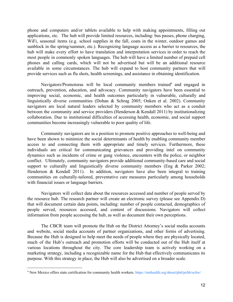phone and computers and/or tablets available to help with making appointments, filling out applications, etc. The hub will provide limited resources, including: bus passes, phone charging, WiFi, seasonal items (e.g. school supplies in the fall, coats in the winter, outdoor games and sunblock in the spring/summer, etc.). Recognizing language access as a barrier to resources, the hub will make every effort to have translation and interpretation services in order to reach the most people in commonly spoken languages. The hub will have a limited number of prepaid cell phones and calling cards, which will not be advertised but will be an additional resource available in some circumstances. The hub will expand to host community partners that will provide services such as flu shots, health screenings, and assistance in obtaining identification.

Navigators/Promotoras will be local community members trained<sup>9</sup> and engaged in outreach, prevention, education, and advocacy. Community navigators have been essential to improving social, economic, and health outcomes particularly in vulnerable, culturally and linguistically diverse communities (Dohan & Schrag 2005; Onken et al. 2002). Community navigators are local natural leaders selected by community members who act as a conduit between the community and service providers (Henderson  $&$  Kendall 2011) by institutionalizing collaboration. Due to institutional difficulties of accessing health, economic, and social support communities become increasingly vulnerable to poor quality of life.

Community navigators are in a position to promote positive approaches to well-being and have been shown to minimize the social determinants of health by enabling community member access to and connecting them with appropriate and timely services. Furthermore, these individuals are critical for communicating grievances and providing intel on community dynamics such as incidents of crime or gang violence, encounters with the police, or neighbor conflict. Ultimately, community navigators provide additional community-based care and social support to culturally and linguistically diverse community members (Eng & Parker 2002; Henderson & Kendall 2011). In addition, navigators have also been integral to training communities on culturally-tailored, preventative care measures particularly among households with financial issues or language barriers.

Navigators will collect data about the resources accessed and number of people served by the resource hub. The research partner will create an electronic survey (please see Appendix D) that will document certain data points, including: number of people contacted, demographics of people served, resources accessed, and content of discussions. Navigators will collect information from people accessing the hub, as well as document their own perceptions.

The CBCR team will promote the Hub on the District Attorney's social media accounts and website, social media accounts of partner organizations, and other forms of advertising. Because the Hub is designed to help meet the needs of people where they are physically located, much of the Hub's outreach and promotion efforts will be conducted out of the Hub itself at various locations throughout the city. The core leadership team is actively working on a marketing strategy, including a recognizable name for the Hub that effectively communicates its purpose. With this strategy in place, the Hub will also be advertised on a broader scale.

<sup>&</sup>lt;sup>9</sup> New Mexico offers state certification for community health workers. https://nmhealth.org/about/phd/pchb/ochw/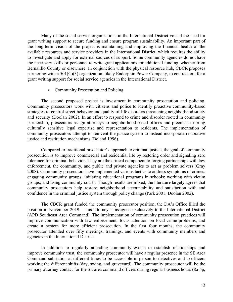Many of the social service organizations in the International District voiced the need for grant writing support to secure funding and ensure program sustainability. An important part of the long-term vision of the project is maintaining and improving the financial health of the available resources and service providers in the International District, which requires the ability to investigate and apply for external sources of support. Some community agencies do not have the necessary skills or personnel to write grant applications for additional funding, whether from Bernalillo County or elsewhere. In conjunction with the physical resource hub, CBCR proposes partnering with a  $501(C)(3)$  organization, likely Endorphin Power Company, to contract out for a grant writing support for social service agencies in the International District.

#### **Community Prosecution and Policing**

The second proposed project is investment in community prosecution and policing. Community prosecutors work with citizens and police to identify proactive community-based strategies to control street behavior and quality-of-life disorders threatening neighborhood safety and security (Doolan 2002). In an effort to respond to crime and disorder rooted in community partnership, prosecutors assign attorneys to neighborhood-based offices and precincts to bring culturally sensitive legal expertise and representation to residents. The implementation of community prosecutors attempt to reinvent the justice system to instead incorporate restorative justice and restitution mechanisms (Boland 1996).

Compared to traditional prosecutor's approach to criminal justice, the goal of community prosecution is to improve commercial and residential life by restoring order and signaling zero tolerance for criminal behavior. They are the critical component to forging partnerships with law enforcement, the community, and public and private agencies to act as problem solvers (Gray 2008). Community prosecutors have implemented various tactics to address symptoms of crimes: engaging community groups, initiating educational programs in schools; working with victim groups; and using community courts. Though results are mixed, the literature largely agrees that community prosecutors help restore neighborhood accountability and satisfaction with and confidence in the criminal justice system through policy change (Park 2001; Doolan 2002).

The CBCR grant funded the community prosecutor position; the DA's Office filled the position in November 2019. This attorney is assigned exclusively to the International District (APD Southeast Area Command). The implementation of community prosecution practices will improve communication with law enforcement, focus attention on local crime problems, and create a system for more efficient prosecution. In the first four months, the community prosecutor attended over fifty meetings, trainings, and events with community members and agencies in the International District.

In addition to regularly attending community events to establish relationships and improve community trust, the community prosecutor will have a regular presence in the SE Area Command substation at different times to be accessible in person to detectives and to officers working the different shifts (day, swing, and graveyard). The community prosecutor will be the primary attorney contact for the SE area command officers during regular business hours (8a-5p,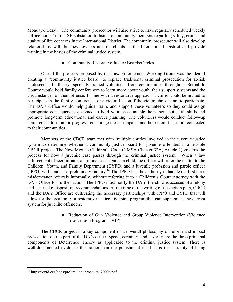Monday-Friday). The community prosecutor will also strive to have regularly scheduled weekly "office hours" in the SE substation to listen to community members regarding safety, crime, and quality of life concerns in the International District. The community prosecutor will also develop relationships with business owners and merchants in the International District and provide training in the basics of the criminal justice system.

# Community Restorative Justice Boards/Circles

One of the projects proposed by the Law Enforcement Working Group was the idea of creating a "community justice board" to replace traditional criminal prosecution for at-risk adolescents. In theory, specially trained volunteers from communities throughout Bernalillo County would hold family conferences to learn more about youth, their support systems and the circumstances of their offense. In line with a restorative approach, victims would be invited to participate in the family conference, or a victim liaison if the victim chooses not to participate. The DA's Office would help guide, train, and support these volunteers so they could assign appropriate consequences designed to hold youth accountable, help them build life skills and promote long-term educational and career planning. The volunteers would conduct follow-up conferences to monitor progress, encourage the participants and help them feel more connected to their communities.

Members of the CBCR team met with multiple entities involved in the juvenile justice system to determine whether a community justice board for juvenile offenders is a feasible CBCR project. The New Mexico Children's Code (NMSA Chapter 32A, Article 2) governs the process for how a juvenile case passes through the criminal justice system. When a law enforcement officer initiates a criminal case against a child, the officer will refer the matter to the Children, Youth, and Family Department (CYFD) and a juvenile probation and parole officer (JPPO) will conduct a preliminary inquiry.<sup>10</sup> The JPPO has the authority to handle the first three misdemeanor referrals informally, without referring it to a Children's Court Attorney with the DA's Office for further action. The JPPO must notify the DA if the child is accused of a felony and can make disposition recommendations. At the time of the writing of this action plan, CBCR and the DA's Office are cultivating the necessary partnerships with JPPO and CYFD that will allow for the creation of a restorative justice diversion program that can supplement the current system for juvenile offenders.

> Reduction of Gun Violence and Group Violence Intervention (Violence Intervention Program - VIP)

The CBCR project is a key component of an overall philosophy of reform and impact prosecution on the part of the DA's office. Speed, certainty, and severity are the three principal components of Deterrence Theory as applicable to the criminal justice system. There is well-documented evidence that rather than the punishment itself, it is the certainty of being

<sup>&</sup>lt;sup>10</sup> https://cyfd.org/docs/prelim inq brochure 2009a.pdf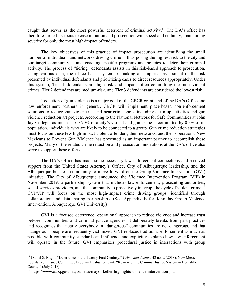caught that serves as the most powerful deterrent of criminal activity.<sup>11</sup> The DA's office has therefore turned its focus to case initiation and prosecution with speed and certainty, maintaining severity for only the most high-impact offenders.

The key objectives of this practice of impact prosecution are identifying the small number of individuals and networks driving crime— thus posing the highest risk to the city and our target community— and enacting specific programs and policies to deter their criminal activity. The process of "tiering" defendants assists in this risk-based approach to prosecution. Using various data, the office has a system of making an empirical assessment of the risk presented by individual defendants and prioritizing cases to direct resources appropriately. Under this system. Tier 1 defendants are high-risk and impact, often committing the most violent crimes. Tier 2 defendants are medium-risk, and Tier 3 defendants are considered the lowest risk.

Reduction of gun violence is a major goal of the CBCR grant, and of the DA's Office and law enforcement partners in general. CBCR will implement place-based non-enforcement solutions to reduce gun violence at and near crime spots, including clean-up activities and gun violence reduction art projects. According to the National Network for Safe Communities at John Jay College, as much as 60-70% of a city's violent and gun crime is committed by 0.5% of its population, individuals who are likely to be connected to a group. Gun crime reduction strategies must focus on these few high-impact violent offenders, their networks, and their operations. New Mexicans to Prevent Gun Violence has presented as an important partner to accomplish these projects. Many of the related crime reduction and prosecution innovations at the DA's office also serve to support these efforts.

The DA's Office has made some necessary law enforcement connections and received support from the United States Attorney's Office, City of Albuquerque leadership, and the Albuquerque business community to move forward on the Group Violence Intervention (GVI) initiative. The City of Albuquerque announced the Violence Intervention Program (VIP) in November 2019, a partnership system that includes law enforcement, prosecuting authorities, social services providers, and the community to proactively interrupt the cycle of violent crime.<sup>12</sup> GVI/VIP will focus on the most high-impact crime driving groups, identified through collaboration and data-sharing partnerships. (See Appendix E for John Jay Group Violence Intervention, Albuquerque GVI University)

GVI is a focused deterrence, operational approach to reduce violence and increase trust between communities and criminal justice agencies. It deliberately breaks from past practices and recognizes that nearly everybody in "dangerous" communities are not dangerous, and that "dangerous" people are frequently victimized. GVI replaces traditional enforcement as much as possible with community standards and influence and explicitly explains how law enforcement will operate in the future. GVI emphasizes procedural justice in interactions with group

<sup>&</sup>lt;sup>11</sup> Daniel S. Nagin. "Deterrence in the Twenty-First Century." Crime and Justice. 42 no. 2 (2013); New Mexico Legislative Finance Committee Program Evaluation Unit. "Review of the Criminal Justice System in Bernalillo County." (July 2018)

<sup>&</sup>lt;sup>12</sup> https://www.cabq.gov/mayor/news/mayor-keller-highlights-violence-intervention-plan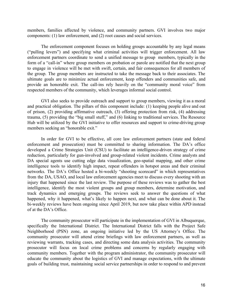members, families affected by violence, and community partners. GVI involves two major components: (1) law enforcement, and (2) root causes and social services.

The enforcement component focuses on holding groups accountable by any legal means ("pulling levers") and specifying what criminal activities will trigger enforcement. All law enforcement partners coordinate to send a unified message to group members, typically in the form of a "call-in" where group members on probation or parole are notified that the next group to engage in violence will be met with swift, certain, and fair consequences for all members of the group. The group members are instructed to take the message back to their associates. The ultimate goals are to minimize actual enforcement, keep offenders and communities safe, and provide an honorable exit. The call-ins rely heavily on the "community moral voice" from respected members of the community, which leverages informal social control.

GVI also seeks to provide outreach and support to group members, viewing it as a moral and practical obligation. The pillars of this component include: (1) keeping people alive and out of prison, (2) providing affirmative outreach, (3) offering protection from risk, (4) addressing trauma, (5) providing the "big small stuff," and (6) linking to traditional services. The Resource Hub will be utilized by the GVI initiative to offer resources and support to crime-driving group members seeking an "honorable exit."

In order for GVI to be effective, all core law enforcement partners (state and federal enforcement and prosecution) must be committed to sharing information. The DA's office developed a Crime Strategies Unit (CSU) to facilitate an intelligence-driven strategy of crime reduction, particularly for gun-involved and group-related violent incidents. Crime analysts and DA special agents use cutting edge data visualization, geo-spatial mapping, and other crime intelligence tools to identify high impact, repeat offenders in hotspot areas and their criminal networks. The DA's Office hosted a bi-weekly "shooting scorecard" in which representatives from the DA, USAO, and local law enforcement agencies meet to discuss every shooting with an injury that happened since the last review. The purpose of these reviews was to gather the best intelligence, identify the most violent groups and group members, determine motivation, and track dynamics and emerging groups. The reviews seek to answer the questions of what happened, why it happened, what's likely to happen next, and what can be done about it. The bi-weekly reviews have been ongoing since April 2019, but now take place within APD instead of at the DA's Office.

The community prosecutor will participate in the implementation of GVI in Albuquerque, specifically the International District. The International District falls with the Project Safe Neighborhood (PSN) zone, an ongoing initiative led by the US Attorney's Office. The community prosecutor will attend crime briefings with law enforcement partners, as well as reviewing warrants, tracking cases, and directing some data analysis activities. The community prosecutor will focus on local crime problems and concerns by regularly engaging with community members. Together with the program administrator, the community prosecutor will educate the community about the logistics of GVI and manage expectations, with the ultimate goals of building trust, maintaining social service partnerships in order to respond to and prevent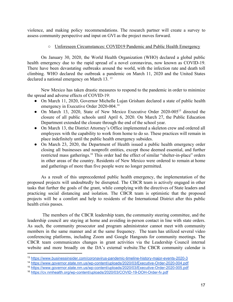violence, and making policy recommendations. The research partner will create a survey to assess community perspective and input on GVI as the project moves forward.

# $\circ$  Unforeseen Circumstances: COVID19 Pandemic and Public Health Emergency

On January 30, 2020, the World Health Organization (WHO) declared a global public health emergency due to the rapid spread of a novel coronavirus, now known as COVID-19. There have been devastating outbreaks around the world, with the infection rate and death toll climbing. WHO declared the outbreak a pandemic on March 11, 2020 and the United States declared a national emergency on March 13.<sup>13</sup>

New Mexico has taken drastic measures to respond to the pandemic in order to minimize the spread and adverse effects of COVID-19:

- On March 11, 2020, Governor Michelle Lujan Grisham declared a state of public health emergency in Executive Order 2020-004.<sup>14</sup>
- On March 13, 2020, State of New Mexico Executive Order 2020-005<sup>15</sup> directed the closure of all public schools until April 6, 2020. On March 27, the Public Education Department extended the closure through the end of the school year.
- On March 13, the District Attorney's Office implemented a skeleton crew and ordered all employees with the capability to work from home to do so. These practices will remain in place indefinitely until the public health emergency subsides.
- On March 23, 2020, the Department of Health issued a public health emergency order closing all businesses and nonprofit entities, except those deemed essential, and further restricted mass gatherings.<sup>16</sup> This order had the effect of similar "shelter-in-place" orders in other areas of the country. Residents of New Mexico were ordered to remain at home and gatherings of more than five people were no longer permitted.

As a result of this unprecedented public health emergency, the implementation of the proposed projects will undoubtedly be disrupted. The CBCR team is actively engaged in other tasks that further the goals of the grant, while complying with the directives of State leaders and practicing social distancing and isolation. The CBCR team is optimistic that the proposed projects will be a comfort and help to residents of the International District after this public health crisis passes.

The members of the CBCR leadership team, the community steering committee, and the leadership council are staying at home and avoiding in-person contact in line with state orders. As such, the community prosecutor and program administrator cannot meet with community members in the same manner and at the same frequency. The team has utilized several video conferencing platforms, including Zoom and Google Hangouts for community meetings. The CBCR team communicates changes in grant activities via the Leadership Council internal website and more broadly on the DA's external website. The CBCR community calendar is

<sup>&</sup>lt;sup>13</sup> https://www.businessinsider.com/coronavirus-pandemic-timeline-history-major-events-2020-3

<sup>&</sup>lt;sup>14</sup> https://www.governor.state.nm.us/wp-content/uploads/2020/03/Executive-Order-2020-004.pdf

<sup>&</sup>lt;sup>15</sup> https://www.governor.state.nm.us/wp-content/uploads/2020/03/Executive-Order-2020-005.pdf

<sup>&</sup>lt;sup>16</sup> https://cv.nmhealth.org/wp-content/uploads/2020/03/COVID-19-DOH-Order-fv.pdf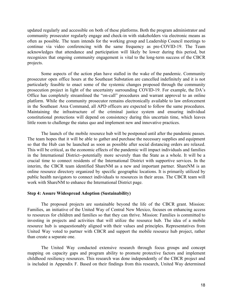updated regularly and accessible on both of these platforms. Both the program administrator and community prosecutor regularly engage and check-in with stakeholders via electronic means as often as possible. The team intends for the working group and Leadership Council meetings to continue via video conferencing with the same frequency as pre-COVID-19. The Team acknowledges that attendance and participation will likely be lower during this period, but recognizes that ongoing community engagement is vital to the long-term success of the CBCR projects.

Some aspects of the action plan have stalled in the wake of the pandemic. Community prosecutor open office hours at the Southeast Substation are cancelled indefinitely and it is not particularly feasible to enact some of the systemic changes proposed through the community prosecution project in light of the uncertainty surrounding COVID-19. For example, the DA's Office has completely streamlined the "on-call" procedures and warrant approval to an online platform. While the community prosecutor remains electronically available to law enforcement in the Southeast Area Command, all APD officers are expected to follow the same procedures. Maintaining the infrastructure of the criminal justice system and ensuring individual constitutional protections will depend on consistency during this uncertain time, which leaves little room to challenge the status quo and implement new and innovative practices.

The launch of the mobile resource hub will be postponed until after the pandemic passes. The team hopes that it will be able to gather and purchase the necessary supplies and equipment so that the Hub can be launched as soon as possible after social distancing orders are relaxed. This will be critical, as the economic effects of the pandemic will impact individuals and families in the International District--potentially more severely than the State as a whole. It will be a crucial time to connect residents of the International District with supportive services. In the interim, the CBCR team identified ShareNM as a new and important partner. ShareNM is an online resource directory organized by specific geographic locations. It is primarily utilized by public health navigators to connect individuals to resources in their areas. The CBCR team will work with ShareNM to enhance the International District page.

#### **Step 4: Assure Widespread Adoption (Sustainability)**

The proposed projects are sustainable beyond the life of the CBCR grant. Mission: Families, an initiative of the United Way of Central New Mexico, focuses on enhancing access to resources for children and families so that they can thrive. Mission: Families is committed to investing in projects and activities that will utilize the resource hub. The idea of a mobile resource hub is unquestionably aligned with their values and principles. Representatives from United Way voted to partner with CBCR and support the mobile resource hub project, rather than create a separate one.

The United Way conducted extensive research through focus groups and concept mapping on capacity gaps and program ability to promote protective factors and implement childhood resiliency resources. This research was done independently of the CBCR project and is included in Appendix F. Based on their findings from this research, United Way determined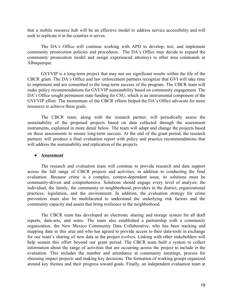that a mobile resource hub will be an effective model to address service accessibility and will seek to replicate it in the counties it serves.

The DA's Office will continue working with APD to develop, test, and implement community prosecution policies and procedures. The DA's Office may decide to expand the community prosecution model and assign experienced attorneys to other area commands in Albuquerque.

GVI/VIP is a long-term project that may not see significant results within the life of the CBCR grant. The DA's Office and law enforcement partners recognize that GVI will take time to implement and are committed to the long-term success of the program. The CBCR team will make policy recommendations for GVI/VIP sustainability based on community engagement. The DA's Office sought permanent state funding for CSU, which is an instrumental component of the GVI/VIP effort. The momentum of the CBCR efforts helped the DA's Office advocate for more resources to achieve these goals.

The CBCR team, along with the research partner, will periodically assess the sustainability of the proposed projects based on data collected through the assessment instruments, explained in more detail below. The team will adapt and change the projects based on these assessments to ensure long-term success. At the end of the grant period, the research partners will produce a final evaluation report with policy and practice recommendations that will address the sustainability and replication of the projects.

## • Assessment

The research and evaluation team will continue to provide research and data support across the full range of CBCR projects and activities, in addition to conducting the final evaluation. Because crime is a complex, context-dependent issue, its solutions must be community-driven and comprehensive. Solutions should engage every level of analysis: the individual, the family, the community or neighborhood, providers in the district, organizational practices, legislation, and the environment. In addition, the evaluation strategy for crime prevention must also be multifaceted to understand the underlying risk factors and the community capacity and assets that bring resilience to the neighborhood.

The CBCR team has developed an electronic sharing and storage system for all draft reports, data-sets, and notes. The team also established a partnership with a community organization, the New Mexico Community Data Collaborative, who has been tracking and mapping data in this area and who has agreed to provide access to their data-tools in exchange for our team's sharing of new data as the project evolves. Linking with other stakeholders will help sustain this effort beyond our grant period. The CBCR team built a system to collect information about the range of activities that are occurring across the project to include in the evaluation. This includes the number and attendance at community meetings, process for choosing impact projects and making key decisions. The formation of working groups organized around key themes and their progress toward goals. Finally, an independent evaluation team at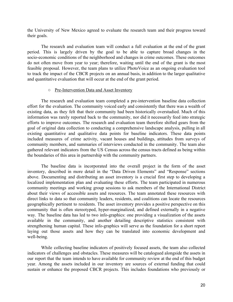the University of New Mexico agreed to evaluate the research team and their progress toward their goals.

The research and evaluation team will conduct a full evaluation at the end of the grant period. This is largely driven by the goal to be able to capture broad changes in the socio-economic conditions of the neighborhood and changes in crime outcomes. These outcomes do not often move from year to year; therefore, waiting until the end of the grant is the most feasible proposal. However, the team plans to utilize PhotoVoice as an ongoing evaluation tool to track the impact of the CBCR projects on an annual basis, in addition to the larger qualitative and quantitative evaluation that will occur at the end of the grant period.

#### o Pre-Intervention Data and Asset Inventory

The research and evaluation team completed a pre-intervention baseline data collection effort for the evaluation. The community voiced early and consistently that there was a wealth of existing data, as they felt that their community had been historically overstudied. Much of this information was rarely reported back to the community, nor did it necessarily feed into strategic efforts to improve outcomes. The research and evaluation team therefore shifted gears from the goal of original data collection to conducting a comprehensive landscape analysis, pulling in all existing quantitative and qualitative data points for baseline indicators. These data points included measures of crime activity, vacant houses and buildings, attitudes from surveys of community members, and summaries of interviews conducted in the community. The team also gathered relevant indicators from the US Census across the census tracts defined as being within the boundaries of this area in partnership with the community partners.

The baseline data is incorporated into the overall project in the form of the asset inventory, described in more detail in the "Data Driven Elements" and "Response" sections above. Documenting and distributing an asset inventory is a crucial first step to developing a localized implementation plan and evaluating these efforts. The team participated in numerous community meetings and working group sessions to ask members of the International District about their views of accessible assets and resources. The team annotated these resources with direct links to data so that community leaders, residents, and coalitions can locate the resources geographically pertinent to residents. The asset inventory provides a positive perspective on this community that is often stereotyped, hyper-marginalized, and defined externally in a negative way. The baseline data has led to two info-graphics: one providing a visualization of the assets available in the community, and another detailing descriptive statistics consistent with strengthening human capital. These info-graphics will serve as the foundation for a short report laying out those assets and how they can be translated into economic development and well-being.

While collecting baseline indicators of positively focused assets, the team also collected indicators of challenges and obstacles. These measures will be catalogued alongside the assets in our report that the team intends to have available for community review at the end of this budget year. Among the assets included in our inventory are sources of external funding that could sustain or enhance the proposed CBCR projects. This includes foundations who previously or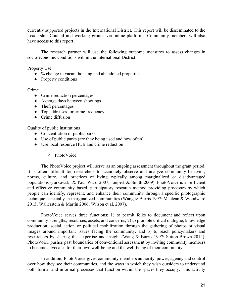currently supported projects in the International District. This report will be disseminated to the Leadership Council and working groups via online platforms. Community members will also have access to this report.

The research partner will use the following outcome measures to assess changes in socio-economic conditions within the International District:

Property Use

- $\bullet$  % change in vacant housing and abandoned properties
- Property conditions

Crime

- Crime reduction percentages
- Average days between shootings
- $\bullet$  Theft percentages
- $\bullet$  Top addresses for crime frequency
- $\bullet$  Crime diffusion

# **Quality of public institutions**

- Concentration of public parks
- Use of public parks (are they being used and how often)
- Use local resource HUB and crime reduction
	- o PhotoVoice

The PhotoVoice project will serve as an ongoing assessment throughout the grant period. It is often difficult for researchers to accurately observe and analyze community behavior, norms, culture, and practices of living typically among marginalized or disadvantaged populations (Jurkowski & Paul-Ward 2007; Leipert & Smith 2009). PhotoVoice is an efficient and effective community based, participatory research method providing processes by which people can identify, represent, and enhance their community through a specific photographic technique especially in marginalized communities (Wang & Burris 1997; Maclean & Woodward 2013; Wallerstein & Martin 2006; Wilson et al. 2007).

PhotoVoice serves three functions: 1) to permit folks to document and reflect upon community strengths, resources, assets, and concerns, 2) to promote critical dialogue, knowledge production, social action or political mobilization through the gathering of photos or visual images around important issues facing the community, and 3) to reach policymakers and researchers by sharing this expertise and insight (Wang & Burris 1997; Sutton-Brown 2014). PhotoVoice pushes past boundaries of conventional assessment by inviting community members to become advocates for their own well-being and the well-being of their community.

In addition, PhotoVoice gives community members authority, power, agency and control over how they see their communities, and the ways in which they wish outsiders to understand both formal and informal processes that function within the spaces they occupy. This activity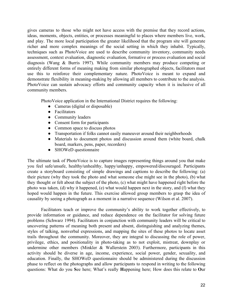gives cameras to those who might not have access with the premise that they record actions, ideas, moments, objects, entities, or processes meaningful to places where members live, work, and play. The more local participation the greater likelihood that the program site will generate richer and more complex meanings of the social setting in which they inhabit. Typically, techniques such as PhotoVoice are used to describe community inventory, community needs assessment, context evaluation, diagnostic evaluation, formative or process evaluation and social diagnosis (Wang  $\&$  Burris 1997). While community members may produce competing or entirely different forms of meaning making from similar photographed objects, facilitators must use this to reinforce their complementary nature. PhotoVoice is meant to expand and demonstrate flexibility in meaning-making by allowing all members to contribute to the analysis. PhotoVoice can sustain advocacy efforts and community capacity when it is inclusive of all community members.

PhotoVoice application in the International District requires the following:

- Cameras (digital or disposable)
- Facilitators
- Community leaders
- Consent form for participants
- Common space to discuss photos
- Transportation if folks cannot easily maneuver around their neighborhoods
- Materials to document photos and discussion around them (white board, chalk board, markers, pens, paper, recorders)
- SHOWeD questionnaire

The ultimate task of PhotoVoice is to capture images representing things around you that make you feel safe/unsafe, healthy/unhealthy, happy/unhappy, empowered/discouraged. Participants create a storyboard consisting of simple drawings and captions to describe the following: (a) their picture (why they took the photo and what someone else might see in the photo), (b) what they thought or felt about the subject of the photo, (c) what might have happened right before the photo was taken, (d) why it happened, (e) what would happen next in the story, and (f) what they hoped would happen in the future. This exercise allowed group members to grasp the idea of causality by seeing a photograph as a moment in a narrative sequence (Wilson et al. 2007).

Facilitators teach or improve the community's ability to work together effectively, to provide information or guidance, and reduce dependence on the facilitator for solving future problems (Schwarz 1994). Facilitators in conjunction with community leaders will be critical to uncovering patterns of meaning both present and absent, distinguishing and analyzing themes, styles of talking, nonverbal expressions, and mapping the sites of these photos to locate asset trails throughout the community. Moreover, they are integral to discussing the role of power, privilege, ethics, and positionality in photo-taking as to not exploit, mistreat, downplay or undermine other members (Minkler & Wallerstein 2003). Furthermore, participants in this activity should be diverse in age, income, experience, social power, gender, sexuality, and education. Finally, the SHOWeD questionnaire should be administered during the discussion phase to reflect on the photographs and allow participants to respond in writing to the following questions: What do you See here; What's really Happening here; How does this relate to Our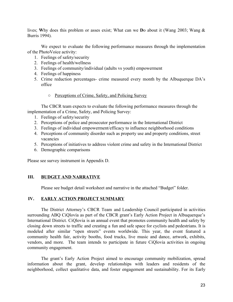lives; Why does this problem or asses exist; What can we Do about it (Wang 2003; Wang & Burris 1994).

We expect to evaluate the following performance measures through the implementation of the PhotoVoice activity:

- 1. Feelings of safety/security
- 2. Feelings of health/wellness
- 3. Feelings of community/individual (adults vs youth) empowerment
- 4. Feelings of happiness
- 5. Crime reduction percentages- crime measured every month by the Albuquerque DA's office
	- o Perceptions of Crime, Safety, and Policing Survey

The CBCR team expects to evaluate the following performance measures through the implementation of a Crime, Safety, and Policing Survey:

- 1. Feelings of safety/security
- 2. Perceptions of police and prosecutor performance in the International District
- 3. Feelings of individual empowerment/efficacy to influence neighborhood conditions
- 4. Perceptions of community disorder such as property use and property conditions, street vacancies
- 5. Perceptions of initiatives to address violent crime and safety in the International District
- 6. Demographic comparisons

Please see survey instrument in Appendix D.

#### III. **BUDGET AND NARRATIVE**

Please see budget detail worksheet and narrative in the attached "Budget" folder.

#### IV. **EARLY ACTION PROJECT SUMMARY**

The District Attorney's CBCR Team and Leadership Council participated in activities surrounding ABQ CiQlovía as part of the CBCR grant's Early Action Project in Albuquerque's International District. CiOlovia is an annual event that promotes community health and safety by closing down streets to traffic and creating a fun and safe space for cyclists and pedestrians. It is modeled after similar "open streets" events worldwide. This year, the event featured a community health fair, activity booths, food trucks, live music and dance, artwork, exhibits, vendors, and more. The team intends to participate in future CiOlovia activities in ongoing community engagement.

The grant's Early Action Project aimed to encourage community mobilization, spread information about the grant, develop relationships with leaders and residents of the neighborhood, collect qualitative data, and foster engagement and sustainability. For its Early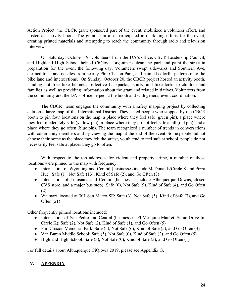Action Project, the CBCR grant sponsored part of the event, mobilized a volunteer effort, and hosted an activity booth. The grant team also participated in marketing efforts for the event, creating printed materials and attempting to reach the community through radio and television interviews.

On Saturday, October 19, volunteers from the DA's office, CBCR Leadership Council, and Highland High School helped CiQlovía organizers clean the park and paint the street in preparation for the event the following day. Volunteers swept sidewalks and Southern Ave, cleaned trash and needles from nearby Phil Chacon Park, and painted colorful patterns onto the bike lane and intersections. On Sunday, October 20, the CBCR project hosted an activity booth, handing out free bike helmets, reflective backpacks, tshirts, and bike locks to children and families as well as providing information about the grant and related initiatives. Volunteers from the community and the DA's office helped at the booth and with general event coordination.

The CBCR team engaged the community with a safety mapping project by collecting data on a large map of the International District. They asked people who stopped by the CBCR booth to pin four locations on the map: a place where they feel safe (green pin), a place where they feel moderately safe (yellow pin), a place where they do not feel safe at all (red pin), and a place where they go often (blue pin). The team recognized a number of trends in conversations with community members and by viewing the map at the end of the event. Some people did not choose their home as the place they felt the safest, youth tend to feel safe at school, people do not necessarily feel safe at places they go to often.

With respect to the top addresses for violent and property crime, a number of those locations were pinned to the map with frequency:

- Intersection of Wyoming and Central (businesses include McDonalds/Circle K and Pizza Hut): Safe (1), Not Safe (13), Kind of Safe (2), and Go Often (3)
- Intersection of Louisiana and Central (businesses include Albuquerque Downs, closed CVS store, and a major bus stop): Safe (0), Not Safe (9), Kind of Safe (4), and Go Often  $(2)$
- Walmart, located at 301 San Mateo SE: Safe  $(3)$ , Not Safe  $(5)$ , Kind of Safe  $(3)$ , and Go Often  $(21)$

Other frequently pinned locations included:

- Intersection of San Pedro and Central (businesses: El Mesquite Market, Sonic Drive In, Circle K): Safe  $(2)$ , Not Safe  $(2)$ , Kind of Safe  $(1)$ , and Go Often  $(5)$
- Phil Chacon Memorial Park: Safe (5), Not Safe (6), Kind of Safe (5), and Go Often (3)
- Van Buren Middle School: Safe  $(5)$ , Not Safe  $(0)$ , Kind of Safe  $(2)$ , and Go Often  $(5)$
- Highland High School: Safe  $(3)$ , Not Safe  $(0)$ , Kind of Safe  $(3)$ , and Go Often  $(1)$

For full details about Albuquerque CiQlovia 2019, please see Appendix G.

#### $V_{\bullet}$ **APPENDIX**